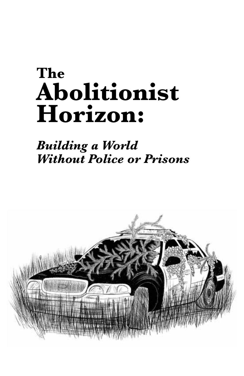# **The Abolitionist Horizon:**

#### *Building a World Without Police or Prisons*

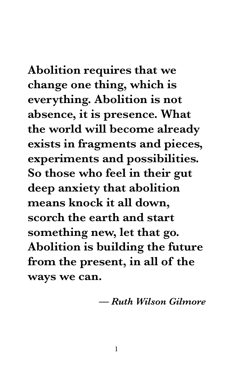**Abolition requires that we change one thing, which is everything. Abolition is not absence, it is presence. What the world will become already exists in fragments and pieces, experiments and possibilities. So those who feel in their gut deep anxiety that abolition means knock it all down, scorch the earth and start something new, let that go. Abolition is building the future from the present, in all of the ways we can.**

*— Ruth Wilson Gilmore*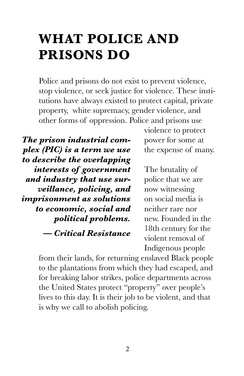### **WHAT POLICE AND PRISONS DO**

Police and prisons do not exist to prevent violence, stop violence, or seek justice for violence. These institutions have always existed to protect capital, private property, white supremacy, gender violence, and other forms of oppression. Police and prisons use

*The prison industrial complex (PIC) is a term we use to describe the overlapping interests of government and industry that use surveillance, policing, and imprisonment as solutions to economic, social and political problems. — Critical Resistance*

violence to protect power for some at the expense of many.

The brutality of police that we are now witnessing on social media is neither rare nor new. Founded in the 18th century for the violent removal of Indigenous people

from their lands, for returning enslaved Black people to the plantations from which they had escaped, and for breaking labor strikes, police departments across the United States protect "property" over people's lives to this day. It is their job to be violent, and that is why we call to abolish policing.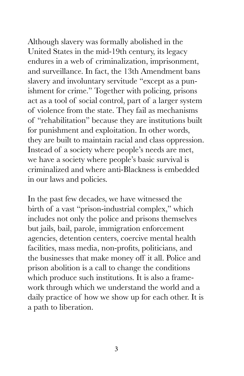Although slavery was formally abolished in the United States in the mid-19th century, its legacy endures in a web of criminalization, imprisonment, and surveillance. In fact, the 13th Amendment bans slavery and involuntary servitude "except as a punishment for crime." Together with policing, prisons act as a tool of social control, part of a larger system of violence from the state. They fail as mechanisms of "rehabilitation" because they are institutions built for punishment and exploitation. In other words, they are built to maintain racial and class oppression. Instead of a society where people's needs are met, we have a society where people's basic survival is criminalized and where anti-Blackness is embedded in our laws and policies.

In the past few decades, we have witnessed the birth of a vast "prison-industrial complex," which includes not only the police and prisons themselves but jails, bail, parole, immigration enforcement agencies, detention centers, coercive mental health facilities, mass media, non-profits, politicians, and the businesses that make money off it all. Police and prison abolition is a call to change the conditions which produce such institutions. It is also a framework through which we understand the world and a daily practice of how we show up for each other. It is a path to liberation.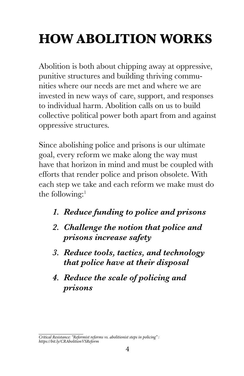# **HOW ABOLITION WORKS**

Abolition is both about chipping away at oppressive, punitive structures and building thriving communities where our needs are met and where we are invested in new ways of care, support, and responses to individual harm. Abolition calls on us to build collective political power both apart from and against oppressive structures.

Since abolishing police and prisons is our ultimate goal, every reform we make along the way must have that horizon in mind and must be coupled with efforts that render police and prison obsolete. With each step we take and each reform we make must do the following: $<sup>1</sup>$ </sup>

- *1. Reduce funding to police and prisons*
- *2. Challenge the notion that police and prisons increase safety*
- *3. Reduce tools, tactics, and technology that police have at their disposal*
- *4. Reduce the scale of policing and prisons*

*Critical Resistance: "Reformist reforms vs. abolitionist steps in policing" : https://bit.ly/CRAbolitionVSReform*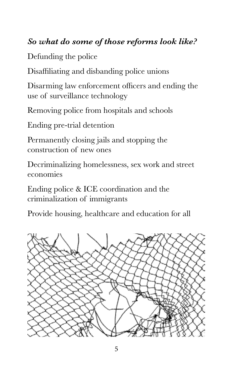#### *So what do some of those reforms look like?*

Defunding the police

Disaffiliating and disbanding police unions

Disarming law enforcement officers and ending the use of surveillance technology

Removing police from hospitals and schools

Ending pre-trial detention

Permanently closing jails and stopping the construction of new ones

Decriminalizing homelessness, sex work and street economies

Ending police & ICE coordination and the criminalization of immigrants

Provide housing, healthcare and education for all

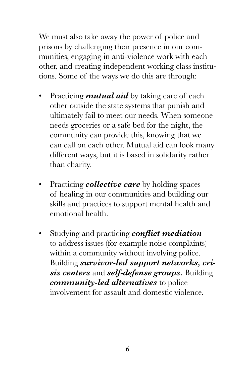We must also take away the power of police and prisons by challenging their presence in our communities, engaging in anti-violence work with each other, and creating independent working class institutions. Some of the ways we do this are through:

- Practicing *mutual aid* by taking care of each other outside the state systems that punish and ultimately fail to meet our needs. When someone needs groceries or a safe bed for the night, the community can provide this, knowing that we can call on each other. Mutual aid can look many different ways, but it is based in solidarity rather than charity.
- Practicing *collective care* by holding spaces of healing in our communities and building our skills and practices to support mental health and emotional health.
- Studying and practicing *conflict mediation* to address issues (for example noise complaints) within a community without involving police. Building *survivor-led support networks, crisis centers* and *self-defense groups.* Building *community-led alternatives* to police involvement for assault and domestic violence.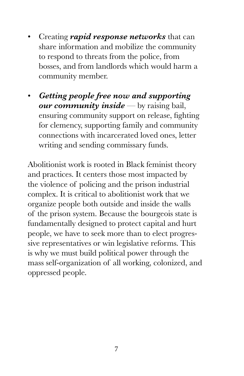- Creating *rapid response networks* that can share information and mobilize the community to respond to threats from the police, from bosses, and from landlords which would harm a community member.
- *Getting people free now and supporting our community inside* — by raising bail, ensuring community support on release, fighting for clemency, supporting family and community connections with incarcerated loved ones, letter writing and sending commissary funds.

Abolitionist work is rooted in Black feminist theory and practices. It centers those most impacted by the violence of policing and the prison industrial complex. It is critical to abolitionist work that we organize people both outside and inside the walls of the prison system. Because the bourgeois state is fundamentally designed to protect capital and hurt people, we have to seek more than to elect progressive representatives or win legislative reforms. This is why we must build political power through the mass self-organization of all working, colonized, and oppressed people.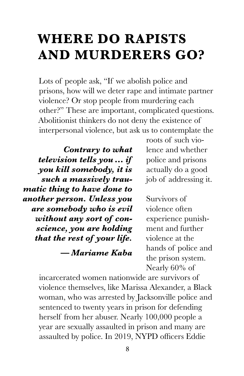#### **WHERE DO RAPISTS AND MURDERERS GO?**

Lots of people ask, "If we abolish police and prisons, how will we deter rape and intimate partner violence? Or stop people from murdering each other?" These are important, complicated questions. Abolitionist thinkers do not deny the existence of interpersonal violence, but ask us to contemplate the

*Contrary to what television tells you… if you kill somebody, it is such a massively traumatic thing to have done to another person. Unless you are somebody who is evil without any sort of conscience, you are holding that the rest of your life.* 

*— Mariame Kaba*

roots of such violence and whether police and prisons actually do a good job of addressing it.

Survivors of violence often experience punishment and further violence at the hands of police and the prison system. Nearly 60% of

incarcerated women nationwide are survivors of violence themselves, like Marissa Alexander, a Black woman, who was arrested by Jacksonville police and sentenced to twenty years in prison for defending herself from her abuser. Nearly 100,000 people a year are sexually assaulted in prison and many are assaulted by police. In 2019, NYPD officers Eddie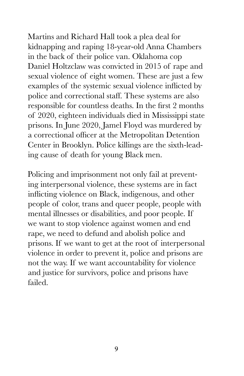Martins and Richard Hall took a plea deal for kidnapping and raping 18-year-old Anna Chambers in the back of their police van. Oklahoma cop Daniel Holtzclaw was convicted in 2015 of rape and sexual violence of eight women. These are just a few examples of the systemic sexual violence inflicted by police and correctional staff. These systems are also responsible for countless deaths. In the first 2 months of 2020, eighteen individuals died in Mississippi state prisons. In June 2020, Jamel Floyd was murdered by a correctional officer at the Metropolitan Detention Center in Brooklyn. Police killings are the sixth-leading cause of death for young Black men.

Policing and imprisonment not only fail at preventing interpersonal violence, these systems are in fact inflicting violence on Black, indigenous, and other people of color, trans and queer people, people with mental illnesses or disabilities, and poor people. If we want to stop violence against women and end rape, we need to defund and abolish police and prisons. If we want to get at the root of interpersonal violence in order to prevent it, police and prisons are not the way. If we want accountability for violence and justice for survivors, police and prisons have failed.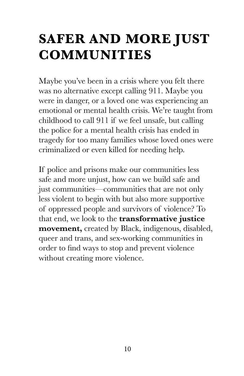### **SAFER AND MORE JUST COMMUNITIES**

Maybe you've been in a crisis where you felt there was no alternative except calling 911. Maybe you were in danger, or a loved one was experiencing an emotional or mental health crisis. We're taught from childhood to call 911 if we feel unsafe, but calling the police for a mental health crisis has ended in tragedy for too many families whose loved ones were criminalized or even killed for needing help.

If police and prisons make our communities less safe and more unjust, how can we build safe and just communities—communities that are not only less violent to begin with but also more supportive of oppressed people and survivors of violence? To that end, we look to the **transformative justice movement,** created by Black, indigenous, disabled, queer and trans, and sex-working communities in order to find ways to stop and prevent violence without creating more violence.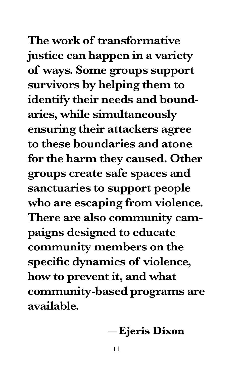**The work of transformative justice can happen in a variety of ways. Some groups support survivors by helping them to identify their needs and boundaries, while simultaneously ensuring their attackers agree to these boundaries and atone for the harm they caused. Other groups create safe spaces and sanctuaries to support people who are escaping from violence. There are also community campaigns designed to educate community members on the specific dynamics of violence, how to prevent it, and what community-based programs are available.**

#### **— Ejeris Dixon**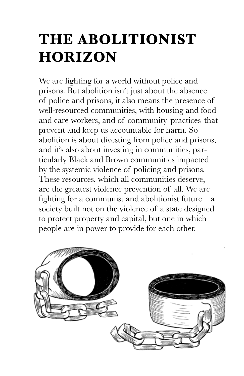# **THE ABOLITIONIST HORIZON**

We are fighting for a world without police and prisons. But abolition isn't just about the absence of police and prisons, it also means the presence of well-resourced communities, with housing and food and care workers, and of community practices that prevent and keep us accountable for harm. So abolition is about divesting from police and prisons, and it's also about investing in communities, particularly Black and Brown communities impacted by the systemic violence of policing and prisons. These resources, which all communities deserve, are the greatest violence prevention of all. We are fighting for a communist and abolitionist future—a society built not on the violence of a state designed to protect property and capital, but one in which people are in power to provide for each other.